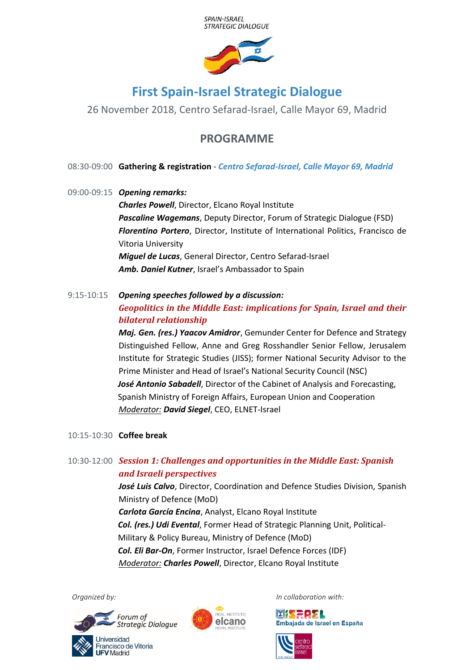



## **First Spain-Israel Strategic Dialogue**

26 November 2018, Centro Sefarad-Israel, Calle Mayor 69, Madrid

## **PROGRAMME**

08:30-09:00 **Gathering & registration** - *Centro Sefarad-Israel, Calle Mayor 69, Madrid*

- 09:00-09:15 *Opening remarks: Charles Powell*, Director, Elcano Royal Institute *Pascaline Wagemans*, Deputy Director, Forum of Strategic Dialogue (FSD) *Florentino Portero*, Director, Institute of International Politics, Francisco de Vitoria University *Miguel de Lucas*, General Director, Centro Sefarad-Israel *Amb. Daniel Kutner*, Israel's Ambassador to Spain
- 9:15-10:15 *Opening speeches followed by a discussion: Geopolitics in the Middle East: implications for Spain, Israel and their bilateral relationship*

*Maj. Gen. (res.) Yaacov Amidror*, Gemunder Center for Defence and Strategy Distinguished Fellow, Anne and Greg Rosshandler Senior Fellow, Jerusalem Institute for Strategic Studies (JISS); former National Security Advisor to the Prime Minister and Head of Israel's National Security Council (NSC) *José Antonio Sabadell*, Director of the Cabinet of Analysis and Forecasting, Spanish Ministry of Foreign Affairs, European Union and Cooperation *Moderator: David Siegel*, CEO, ELNET-Israel

- 10:15-10:30 **Coffee break**
- 10:30-12:00 *Session 1: Challenges and opportunities in the Middle East: Spanish and Israeli perspectives José Luis Calvo*, Director, Coordination and Defence Studies Division, Spanish Ministry of Defence (MoD) *Carlota García Encina*, Analyst, Elcano Royal Institute *Col. (res.) Udi Evental*, Former Head of Strategic Planning Unit, Political-Military & Policy Bureau, Ministry of Defence (MoD) *Col. Eli Bar-On*, Former Instructor, Israel Defence Forces (IDF) *Moderator: Charles Powell*, Director, Elcano Royal Institute





*Organized by: In collaboration with:*

**MISEPEL** Embajada de Israel en España

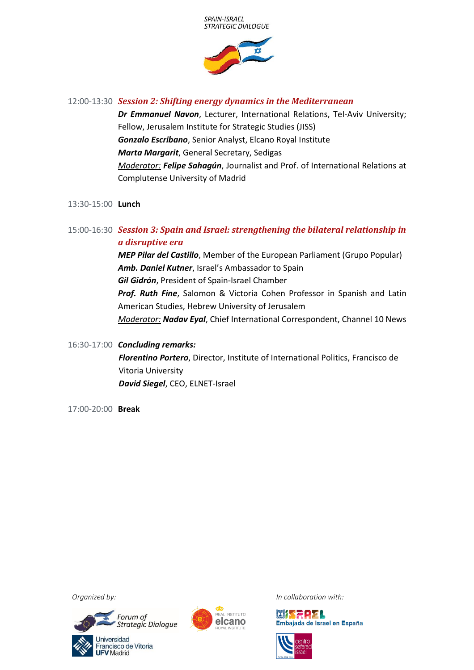



12:00-13:30 *Session 2: Shifting energy dynamics in the Mediterranean*

*Dr Emmanuel Navon*, Lecturer, International Relations, Tel-Aviv University; Fellow, Jerusalem Institute for Strategic Studies (JISS) *Gonzalo Escribano*, Senior Analyst, Elcano Royal Institute *Marta Margarit*, General Secretary, Sedigas *Moderator: Felipe Sahagún*, Journalist and Prof. of International Relations at Complutense University of Madrid

- 13:30-15:00 **Lunch**
- 15:00-16:30 *Session 3: Spain and Israel: strengthening the bilateral relationship in a disruptive era*

*MEP Pilar del Castillo*, Member of the European Parliament (Grupo Popular) *Amb. Daniel Kutner*, Israel's Ambassador to Spain *Gil Gidrón*, President of Spain-Israel Chamber *Prof. Ruth Fine*, Salomon & Victoria Cohen Professor in Spanish and Latin American Studies, Hebrew University of Jerusalem *Moderator: Nadav Eyal*, Chief International Correspondent, Channel 10 News

- 16:30-17:00 *Concluding remarks: Florentino Portero*, Director, Institute of International Politics, Francisco de Vitoria University *David Siegel*, CEO, ELNET-Israel
- 17:00-20:00 **Break**





*Organized by: In collaboration with:*